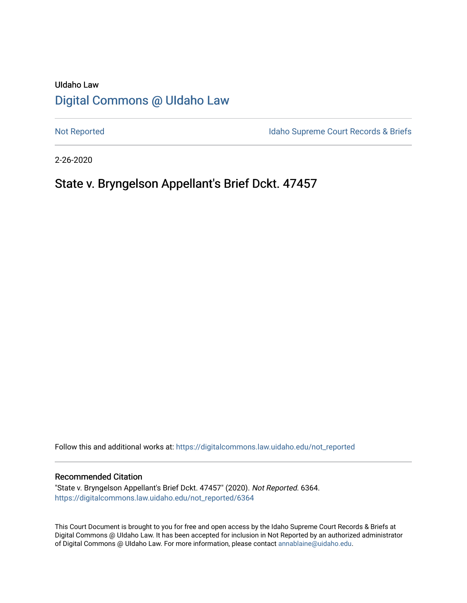# UIdaho Law [Digital Commons @ UIdaho Law](https://digitalcommons.law.uidaho.edu/)

[Not Reported](https://digitalcommons.law.uidaho.edu/not_reported) **Idaho Supreme Court Records & Briefs** 

2-26-2020

# State v. Bryngelson Appellant's Brief Dckt. 47457

Follow this and additional works at: [https://digitalcommons.law.uidaho.edu/not\\_reported](https://digitalcommons.law.uidaho.edu/not_reported?utm_source=digitalcommons.law.uidaho.edu%2Fnot_reported%2F6364&utm_medium=PDF&utm_campaign=PDFCoverPages) 

#### Recommended Citation

"State v. Bryngelson Appellant's Brief Dckt. 47457" (2020). Not Reported. 6364. [https://digitalcommons.law.uidaho.edu/not\\_reported/6364](https://digitalcommons.law.uidaho.edu/not_reported/6364?utm_source=digitalcommons.law.uidaho.edu%2Fnot_reported%2F6364&utm_medium=PDF&utm_campaign=PDFCoverPages)

This Court Document is brought to you for free and open access by the Idaho Supreme Court Records & Briefs at Digital Commons @ UIdaho Law. It has been accepted for inclusion in Not Reported by an authorized administrator of Digital Commons @ UIdaho Law. For more information, please contact [annablaine@uidaho.edu](mailto:annablaine@uidaho.edu).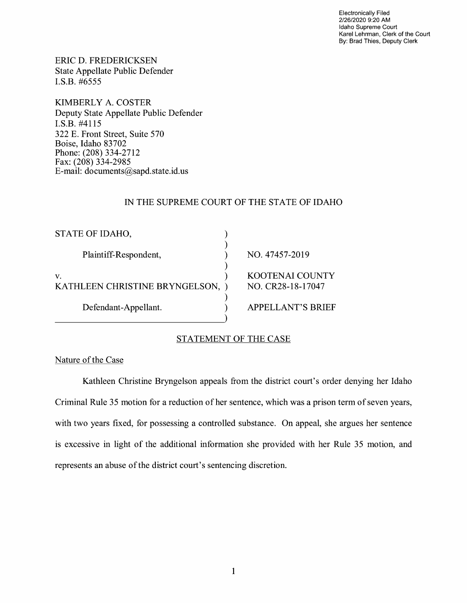Electronically Filed 2/26/2020 9:20 **AM**  Idaho Supreme Court Karel Lehrman, Clerk of the Court By: Brad Thies, Deputy Clerk

ERIC D. FREDERICKSEN State Appellate Public Defender I.S.B. #6555

KIMBERLY A. COSTER Deputy State Appellate Public Defender I.S.B. #4115 322 E. Front Street, Suite 570 Boise, Idaho 83702 Phone: (208) 334-2712 Fax: (208) 334-2985 E-mail: documents@sapd.state.id. us

## IN THE SUPREME COURT OF THE STATE OF IDAHO

| NO. 47457-2019                              |
|---------------------------------------------|
| <b>KOOTENAI COUNTY</b><br>NO. CR28-18-17047 |
| <b>APPELLANT'S BRIEF</b>                    |
|                                             |

## STATEMENT OF THE CASE

Nature of the Case

Kathleen Christine Bryngelson appeals from the district court's order denying her Idaho Criminal Rule 35 motion for a reduction of her sentence, which was a prison term of seven years, with two years fixed, for possessing a controlled substance. On appeal, she argues her sentence is excessive in light of the additional information she provided with her Rule 35 motion, and represents an abuse of the district court's sentencing discretion.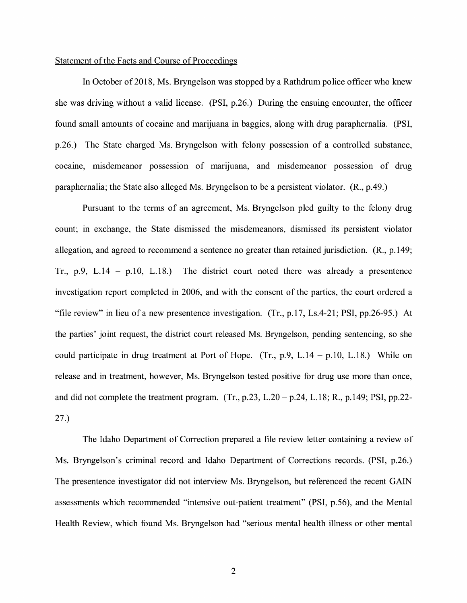### Statement of the Facts and Course of Proceedings

In October of 2018, Ms. Bryngelson was stopped by a Rathdrum police officer who knew she was driving without a valid license. (PSI, p.26.) During the ensuing encounter, the officer found small amounts of cocaine and marijuana in baggies, along with drug paraphernalia. (PSI, p.26.) The State charged Ms. Bryngelson with felony possession of a controlled substance, cocaine, misdemeanor possession of marijuana, and misdemeanor possession of drug paraphernalia; the State also alleged Ms. Bryngelson to be a persistent violator. (R., p.49.)

Pursuant to the terms of an agreement, Ms. Bryngelson pied guilty to the felony drug count; in exchange, the State dismissed the misdemeanors, dismissed its persistent violator allegation, and agreed to recommend a sentence no greater than retained jurisdiction. (R., p.149; Tr., p.9, L.14 - p.10, L.18.) The district court noted there was already a presentence investigation report completed in 2006, and with the consent of the parties, the court ordered a "file review" in lieu of a new presentence investigation. (Tr., p.17, Ls.4-21; PSI, pp.26-95.) At the parties' joint request, the district court released Ms. Bryngelson, pending sentencing, so she could participate in drug treatment at Port of Hope. (Tr., p.9, L.14 - p.10, L.18.) While on release and in treatment, however, Ms. Bryngelson tested positive for drug use more than once, and did not complete the treatment program.  $(Tr, p.23, L.20 - p.24, L.18; R., p.149; PSI, pp.22-$ 27.)

The Idaho Department of Correction prepared a file review letter containing a review of Ms. Bryngelson's criminal record and Idaho Department of Corrections records. (PSI, p.26.) The presentence investigator did not interview Ms. Bryngelson, but referenced the recent GAIN assessments which recommended "intensive out-patient treatment" (PSI, p.56), and the Mental Health Review, which found Ms. Bryngelson had "serious mental health illness or other mental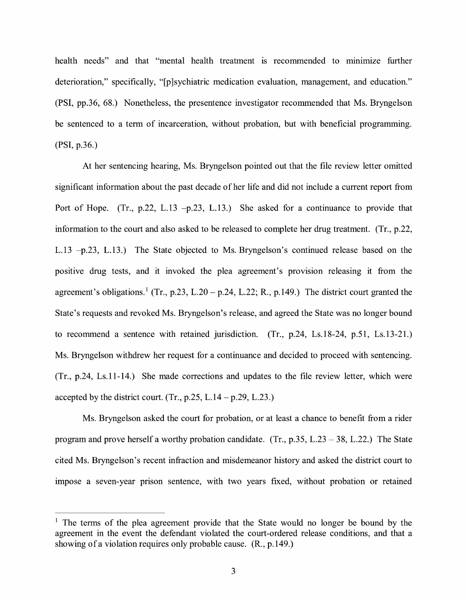health needs" and that "mental health treatment is recommended to minimize further deterioration," specifically, "[p] sychiatric medication evaluation, management, and education." **(PSI,** pp.36, 68.) Nonetheless, the presentence investigator recommended that Ms. Bryngelson be sentenced to a term of incarceration, without probation, but with beneficial programming. **(PSI,** p.36.)

At her sentencing hearing, Ms. Bryngelson pointed out that the file review letter omitted significant information about the past decade of her life and did not include a current report from Port of Hope. (Tr., p.22, L.13 -p.23, L.13.) She asked for a continuance to provide that information to the court and also asked to be released to complete her drug treatment. (Tr., p.22, L.13 -p.23, L.13.) The State objected to Ms. Bryngelson's continued release based on the positive drug tests, and it invoked the plea agreement's provision releasing it from the agreement's obligations.<sup>1</sup> (Tr., p.23, L.20 – p.24, L.22; R., p.149.) The district court granted the State's requests and revoked Ms. Bryngelson's release, and agreed the State was no longer bound to recommend a sentence with retained jurisdiction. (Tr., p.24, Ls.18-24, p.51, Ls.13-21.) Ms. Bryngelson withdrew her request for a continuance and decided to proceed with sentencing. (Tr., p.24, Ls.11-14.) She made corrections and updates to the file review letter, which were accepted by the district court. (Tr., p.25, L.14  $-$  p.29, L.23.)

Ms. Bryngelson asked the court for probation, or at least a chance to benefit from a rider program and prove herself a worthy probation candidate. (Tr.,  $p.35$ , L.23 – 38, L.22.) The State cited Ms. Bryngelson's recent infraction and misdemeanor history and asked the district court to impose a seven-year prison sentence, with two years fixed, without probation or retained

<sup>&</sup>lt;sup>1</sup> The terms of the plea agreement provide that the State would no longer be bound by the agreement in the event the defendant violated the court-ordered release conditions, and that a showing of a violation requires only probable cause.  $(R., p.149.)$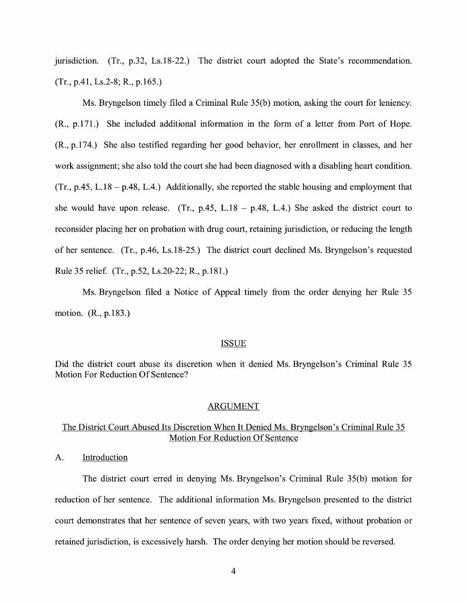jurisdiction. (Tr., p.32, Ls.18-22.) The district court adopted the State's recommendation. (Tr., p.41, Ls.2-8; R., p.165.)

Ms. Bryngelson timely filed a Criminal Rule 35(b) motion, asking the court for leniency. (R., p.171.) She included additional information in the form of a letter from Port of Hope. (R., p.174.) She also testified regarding her good behavior, her enrollment in classes, and her work assignment; she also told the court she had been diagnosed with a disabling heart condition.  $(Tr, p.45, L.18 - p.48, L.4)$  Additionally, she reported the stable housing and employment that she would have upon release. (Tr., p.45, L.18 - p.48, L.4.) She asked the district court to reconsider placing her on probation with drug court, retaining jurisdiction, or reducing the length of her sentence. (Tr., p.46, Ls.18-25.) The district court declined Ms. Bryngelson's requested Rule 35 relief. (Tr., p.52, Ls.20-22; R., p.181.)

Ms. Bryngelson filed a Notice of Appeal timely from the order denying her Rule 35 motion. (R., p.183.)

#### ISSUE

Did the district court abuse its discretion when it denied Ms. Bryngelson's Criminal Rule 35 Motion For Reduction Of Sentence?

#### ARGUMENT

# The District Court Abused Its Discretion When It Denied Ms. Bryngelson's Criminal Rule 35 Motion For Reduction Of Sentence

A. Introduction

The district court erred in denying Ms. Bryngelson's Criminal Rule 35(b) motion for reduction of her sentence. The additional information Ms. Bryngelson presented to the district court demonstrates that her sentence of seven years, with two years fixed, without probation or retained jurisdiction, is excessively harsh. The order denying her motion should be reversed.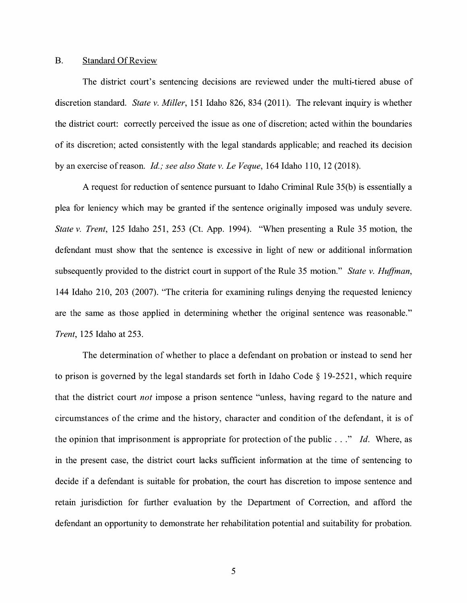#### B. Standard Of Review

The district court's sentencing decisions are reviewed under the multi-tiered abuse of discretion standard. *State v. Miller,* 151 Idaho 826, 834 (2011 ). The relevant inquiry is whether the district court: correctly perceived the issue as one of discretion; acted within the boundaries of its discretion; acted consistently with the legal standards applicable; and reached its decision by an exercise ofreason. *Id.; see also State v. Le Veque,* 164 Idaho 110, 12 (2018).

A request for reduction of sentence pursuant to Idaho Criminal Rule 35(b) is essentially a plea for leniency which may be granted if the sentence originally imposed was unduly severe. *State v. Trent,* 125 Idaho 251, 253 (Ct. App. 1994). "When presenting a Rule 35 motion, the defendant must show that the sentence is excessive in light of new or additional information subsequently provided to the district court in support of the Rule 35 motion." *State v. Huffman,*  144 Idaho 210, 203 (2007). "The criteria for examining rulings denying the requested leniency are the same as those applied in determining whether the original sentence was reasonable." *Trent,* 125 Idaho at 253.

The determination of whether to place a defendant on probation or instead to send her to prison is governed by the legal standards set forth in Idaho Code§ 19-2521, which require that the district court *not* impose a prison sentence "unless, having regard to the nature and circumstances of the crime and the history, character and condition of the defendant, it is of the opinion that imprisonment is appropriate for protection of the public ... " *Id.* Where, as in the present case, the district court lacks sufficient information at the time of sentencing to decide if a defendant is suitable for probation, the court has discretion to impose sentence and retain jurisdiction for further evaluation by the Department of Correction, and afford the defendant an opportunity to demonstrate her rehabilitation potential and suitability for probation.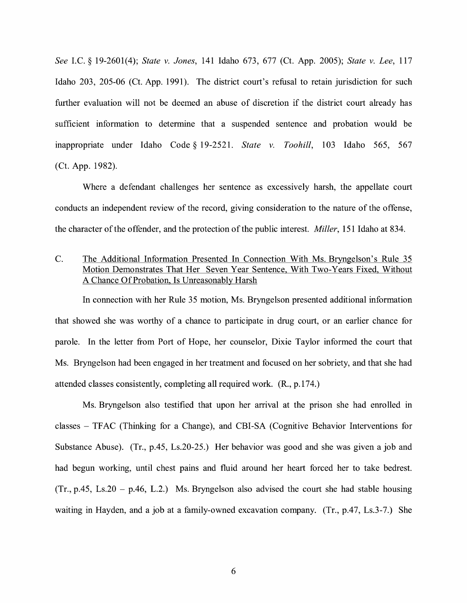*See* I.C. § 19-2601(4); *State v. Jones,* 141 Idaho 673, 677 (Ct. App. 2005); *State v. Lee,* 117 Idaho 203, 205-06 (Ct. App. 1991). The district court's refusal to retain jurisdiction for such further evaluation will not be deemed an abuse of discretion if the district court already has sufficient information to determine that a suspended sentence and probation would be inappropriate under Idaho Code § 19-2521. *State v. Toohill*, 103 Idaho 565, 567 (Ct. App. 1982).

Where a defendant challenges her sentence as excessively harsh, the appellate court conducts an independent review of the record, giving consideration to the nature of the offense, the character of the offender, and the protection of the public interest. *Miller,* 151 Idaho at 834.

C. The Additional Information Presented In Connection With Ms. Bryngelson's Rule 35 Motion Demonstrates That Her Seven Year Sentence, With Two-Years Fixed, Without A Chance Of Probation, Is Unreasonably Harsh

In connection with her Rule 35 motion, Ms. Bryngelson presented additional information that showed she was worthy of a chance to participate in drug court, or an earlier chance for parole. In the letter from Port of Hope, her counselor, Dixie Taylor informed the court that Ms. Bryngelson had been engaged in her treatment and focused on her sobriety, and that she had attended classes consistently, completing all required work. (R., p.174.)

Ms. Bryngelson also testified that upon her arrival at the prison she had enrolled in classes - TFAC (Thinking for a Change), and CBI-SA (Cognitive Behavior Interventions for Substance Abuse). (Tr., p.45, Ls.20-25.) Her behavior was good and she was given a job and had begun working, until chest pains and fluid around her heart forced her to take bedrest.  $(Tr, p.45, Ls.20 - p.46, L.2)$  Ms. Bryngelson also advised the court she had stable housing waiting in Hayden, and a job at a family-owned excavation company. (Tr., p.47, Ls.3-7.) She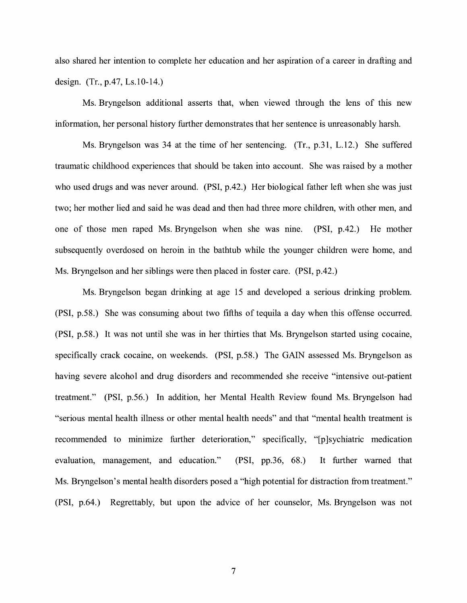also shared her intention to complete her education and her aspiration of a career in drafting and design. (Tr., p.47, Ls.10-14.)

Ms. Bryngelson additional asserts that, when viewed through the lens of this new information, her personal history further demonstrates that her sentence is unreasonably harsh.

Ms. Bryngelson was 34 at the time of her sentencing. (Tr., p.31, L.12.) She suffered traumatic childhood experiences that should be taken into account. She was raised by a mother who used drugs and was never around. (PSI, p.42.) Her biological father left when she was just two; her mother lied and said he was dead and then had three more children, with other men, and one of those men raped Ms. Bryngelson when she was nine. (PSI, p.42.) He mother subsequently overdosed on heroin in the bathtub while the younger children were home, and Ms. Bryngelson and her siblings were then placed in foster care. (PSI, p.42.)

Ms. Bryngelson began drinking at age 15 and developed a serious drinking problem. (PSI, p.58.) She was consuming about two fifths of tequila a day when this offense occurred. (PSI, p.58.) It was not until she was in her thirties that Ms. Bryngelson started using cocaine, specifically crack cocaine, on weekends. (PSI, p.58.) The GAIN assessed Ms. Bryngelson as having severe alcohol and drug disorders and recommended she receive "intensive out-patient treatment." (PSI, p.56.) In addition, her Mental Health Review found Ms. Bryngelson had "serious mental health illness or other mental health needs" and that "mental health treatment is recommended to minimize further deterioration," specifically, "[p]sychiatric medication evaluation, management, and education." **(PSI,** pp.36, 68.) It further warned that Ms. Bryngelson's mental health disorders posed a "high potential for distraction from treatment." (PSI, p.64.) Regrettably, but upon the advice of her counselor, Ms. Bryngelson was not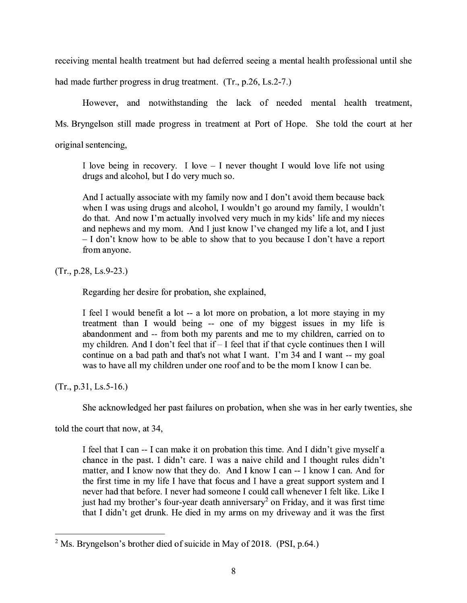receiving mental health treatment but had deferred seeing a mental health professional until she

had made further progress in drug treatment. (Tr., p.26, Ls.2-7.)

However, and notwithstanding the lack of needed mental health treatment,

Ms. Bryngelson still made progress in treatment at Port of Hope. She told the court at her

original sentencing,

I love being in recovery. I love  $-$  I never thought I would love life not using drugs and alcohol, but I do very much so.

And I actually associate with my family now and I don't avoid them because back when I was using drugs and alcohol, I wouldn't go around my family, I wouldn't do that. And now I'm actually involved very much in my kids' life and my nieces and nephews and my mom. And I just know I've changed my life a lot, and I just - I don't know how to be able to show that to you because I don't have a report from anyone.

(Tr., p.28, Ls.9-23.)

Regarding her desire for probation, she explained,

I feel I would benefit a lot -- a lot more on probation, a lot more staying in my treatment than I would being -- one of my biggest issues in my life is abandonment and -- from both my parents and me to my children, carried on to my children. And I don't feel that if  $-I$  feel that if that cycle continues then I will continue on a bad path and that's not what I want. I'm 34 and I want -- my goal was to have all my children under one roof and to be the mom I know I can be.

(Tr., p.31, Ls.5-16.)

She acknowledged her past failures on probation, when she was in her early twenties, she

told the court that now, at 34,

I feel that I can -- I can make it on probation this time. And I didn't give myself a chance in the past. I didn't care. I was a naive child and I thought rules didn't matter, and I know now that they do. And I know I can -- I know I can. And for the first time in my life I have that focus and I have a great support system and I never had that before. I never had someone I could call whenever I felt like. Like I just had my brother's four-year death anniversary<sup>2</sup> on Friday, and it was first time that I didn't get drunk. He died in my arms on my driveway and it was the first

<sup>2</sup>Ms. Bryngelson's brother died of suicide in May of 2018. **(PSI,** p.64.)